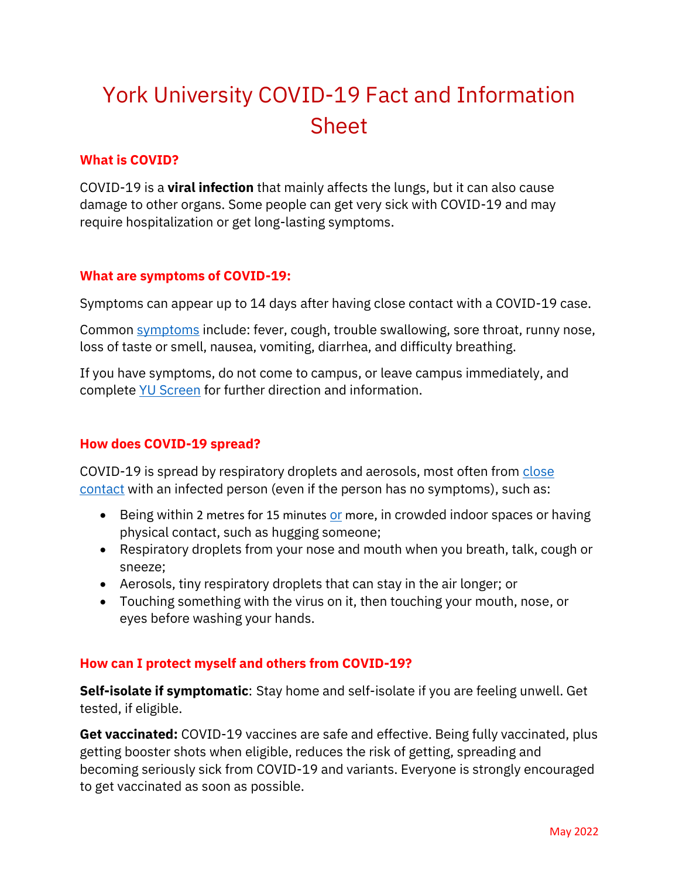# York University COVID-19 Fact and Information Sheet

#### **What is COVID?**

COVID-19 is a **viral infection** that mainly affects the lungs, but it can also cause damage to other organs. Some people can get very sick with COVID-19 and may require hospitalization or get long-lasting symptoms.

## **What are symptoms of COVID-19:**

Symptoms can appear up to 14 days after having close contact with a COVID-19 case.

Common [symptoms](https://www.toronto.ca/home/covid-19/covid-19-what-you-should-do/covid-19-what-to-do-if-you-have-covid-19-symptoms/?accordion=symptoms-of-covid-19) include: fever, cough, trouble swallowing, sore throat, runny nose, loss of taste or smell, nausea, vomiting, diarrhea, and difficulty breathing.

If you have symptoms, do not come to campus, or leave campus immediately, and complete [YU Screen](https://yorku.ubixhealth.com/login) for further direction and information.

# **How does COVID-19 spread?**

COVID-19 is spread by respiratory droplets and aerosols, most often from close [contact](https://www.toronto.ca/home/covid-19/covid-19-what-you-should-do/covid-19-what-to-do-if-you-are-a-close-contact/) with an infected person (even if the person has no symptoms), such as:

- Being within 2 metres f[or](https://www.toronto.ca/home/covid-19/covid-19-reduce-virus-spread/) 15 minutes or more, in crowded indoor spaces or having physical contact, such as hugging someone;
- Respiratory droplets from your nose and mouth when you breath, talk, cough or sneeze;
- Aerosols, tiny respiratory droplets that can stay in the air longer; or
- Touching something with the virus on it, then touching your mouth, nose, or eyes before washing your hands.

# **How can I protect myself and others from COVID-19?**

**Self-isolate if symptomatic**: Stay home and self-isolate if you are feeling unwell. Get tested, if eligible.

**Get vaccinated:** COVID-19 vaccines are safe and effective. Being fully vaccinated, plus getting booster shots when eligible, reduces the risk of getting, spreading and becoming seriously sick from COVID-19 and variants. Everyone is strongly encouraged to get vaccinated as soon as possible.